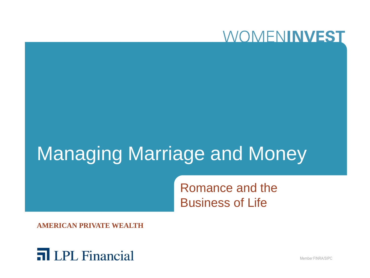

# Managing Marriage and Money

Romance and the Business of Life

**AMERICAN PRIVATE WEALTH**



Member FINRA/SIPC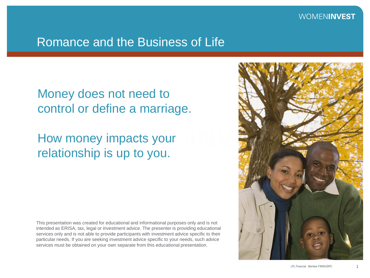#### Romance and the Business of Life

## Money does not need to control or define a marriage.

## How money impacts your relationship is up to you.

This presentation was created for educational and informational purposes only and is not intended as ERISA, tax, legal or investment advice. The presenter is providing educational services only and is not able to provide participants with investment advice specific to their particular needs. If you are seeking investment advice specific to your needs, such advice services must be obtained on your own separate from this educational presentation.

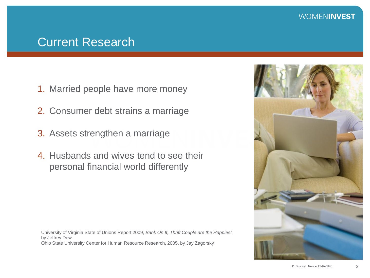#### Current Research

- 1. Married people have more money
- 2. Consumer debt strains a marriage
- 3. Assets strengthen a marriage
- 4. Husbands and wives tend to see their personal financial world differently

University of Virginia State of Unions Report 2009, *Bank On It, Thrift Couple are the Happiest,* by Jeffrey Dew Ohio State University Center for Human Resource Research, 2005, by Jay Zagorsky

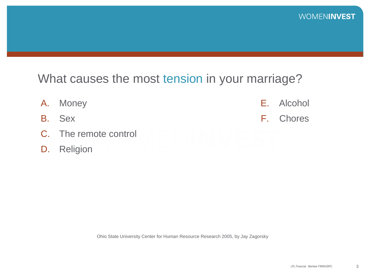#### What causes the most tension in your marriage?

- A. Money B. Sex C. The remote control E. Alcohol F. Chores
- D. Religion

Ohio State University Center for Human Resource Research 2005, by Jay Zagorsky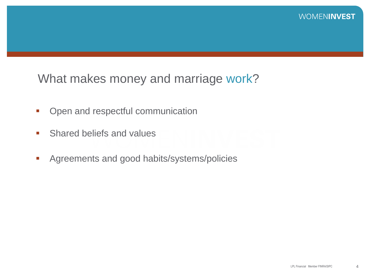What makes money and marriage work?

- Open and respectful communication
- **Shared beliefs and values**
- **Agreements and good habits/systems/policies**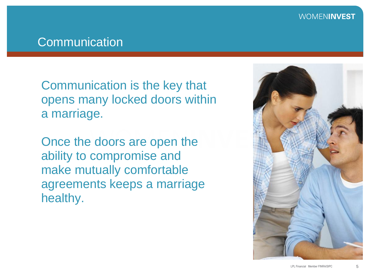#### **Communication**

Communication is the key that opens many locked doors within a marriage.

Once the doors are open the ability to compromise and make mutually comfortable agreements keeps a marriage healthy.

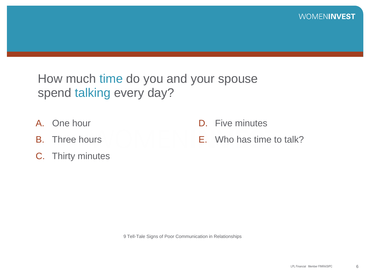## How much time do you and your spouse spend talking every day?

- A. One hour
- B. Three hours
- C. Thirty minutes
- D. Five minutes
- E. Who has time to talk?

9 Tell-Tale Signs of Poor Communication in Relationships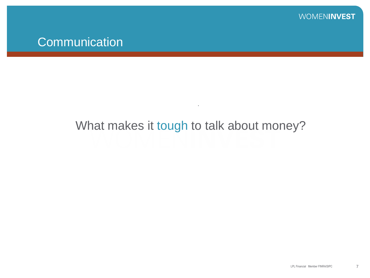## What makes it tough to talk about money?

.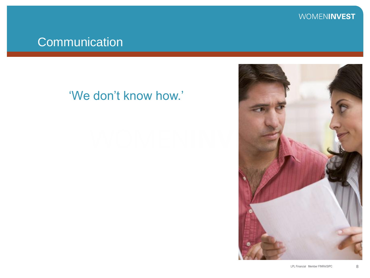## **Communication**

## 'We don't know how.'

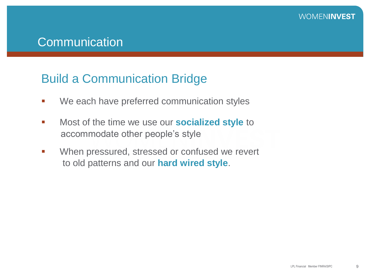#### Build a Communication Bridge

- **We each have preferred communication styles**
- Most of the time we use our **socialized style** to accommodate other people"s style
- **When pressured, stressed or confused we revert** to old patterns and our **hard wired style**.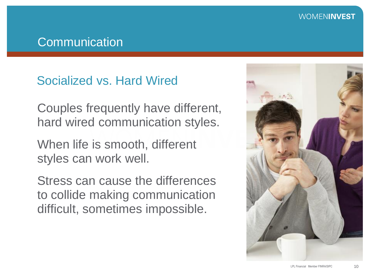#### **Communication**

## Socialized vs. Hard Wired

Couples frequently have different, hard wired communication styles.

When life is smooth, different styles can work well.

Stress can cause the differences to collide making communication difficult, sometimes impossible.

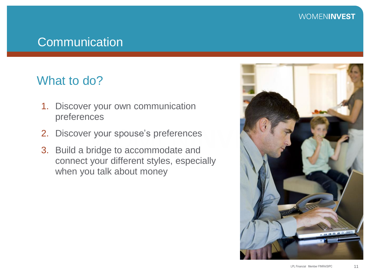#### **Communication**

#### What to do?

- 1. Discover your own communication preferences
- 2. Discover your spouse's preferences
- 3. Build a bridge to accommodate and connect your different styles, especially when you talk about money

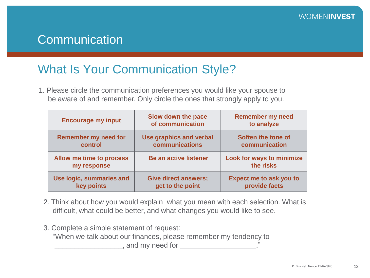## What Is Your Communication Style?

1. Please circle the communication preferences you would like your spouse to be aware of and remember. Only circle the ones that strongly apply to you.

| <b>Encourage my input</b>               | Slow down the pace<br>of communication | <b>Remember my need</b><br>to analyze  |  |
|-----------------------------------------|----------------------------------------|----------------------------------------|--|
| <b>Remember my need for</b>             | Use graphics and verbal                | Soften the tone of                     |  |
| control                                 | communications                         | communication                          |  |
| Allow me time to process<br>my response | <b>Be an active listener</b>           | Look for ways to minimize<br>the risks |  |
| Use logic, summaries and                | <b>Give direct answers;</b>            | <b>Expect me to ask you to</b>         |  |
| key points                              | get to the point                       | provide facts                          |  |

- 2. Think about how you would explain what you mean with each selection. What is difficult, what could be better, and what changes you would like to see.
- 3. Complete a simple statement of request: "When we talk about our finances, please remember my tendency to \_, and my need for \_\_\_\_\_\_\_\_\_\_\_\_\_\_\_\_\_\_\_\_\_\_\_.'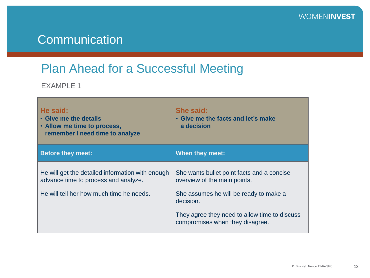## Plan Ahead for a Successful Meeting

EXAMPLE 1

| He said:<br>• Give me the details<br>• Allow me time to process,<br>remember I need time to analyze                                  | She said:<br>• Give me the facts and let's make<br>a decision                                                                                                                                                         |  |
|--------------------------------------------------------------------------------------------------------------------------------------|-----------------------------------------------------------------------------------------------------------------------------------------------------------------------------------------------------------------------|--|
| <b>Before they meet:</b>                                                                                                             | When they meet:                                                                                                                                                                                                       |  |
| He will get the detailed information with enough<br>advance time to process and analyze.<br>He will tell her how much time he needs. | She wants bullet point facts and a concise<br>overview of the main points.<br>She assumes he will be ready to make a<br>decision.<br>They agree they need to allow time to discuss<br>compromises when they disagree. |  |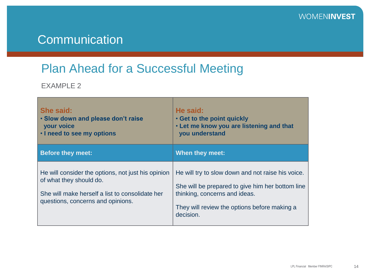## Plan Ahead for a Successful Meeting

EXAMPLE 2

| She said:<br>. Slow down and please don't raise<br><b>your voice</b><br>. I need to see my options                                                                    | He said:<br>. Get to the point quickly<br>. Let me know you are listening and that<br>you understand                                                                                                |
|-----------------------------------------------------------------------------------------------------------------------------------------------------------------------|-----------------------------------------------------------------------------------------------------------------------------------------------------------------------------------------------------|
| <b>Before they meet:</b>                                                                                                                                              | <b>When they meet:</b>                                                                                                                                                                              |
| He will consider the options, not just his opinion<br>of what they should do.<br>She will make herself a list to consolidate her<br>questions, concerns and opinions. | He will try to slow down and not raise his voice.<br>She will be prepared to give him her bottom line<br>thinking, concerns and ideas.<br>They will review the options before making a<br>decision. |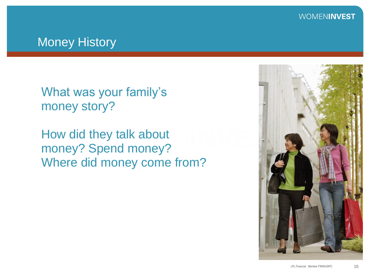#### Money History

What was your family's money story?

How did they talk about money? Spend money? Where did money come from?

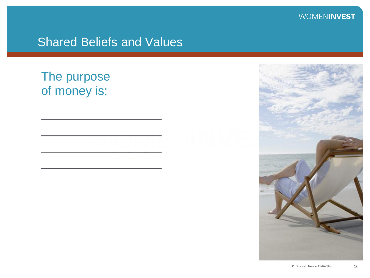#### Shared Beliefs and Values

 $\overline{\phantom{a}}$  , where  $\overline{\phantom{a}}$  , where  $\overline{\phantom{a}}$ 

 $\frac{1}{2}$ 

\_\_\_\_\_\_\_\_\_\_\_\_\_\_\_

 $\overline{\phantom{a}}$  , where  $\overline{\phantom{a}}$  , where  $\overline{\phantom{a}}$ 

## The purpose of money is:

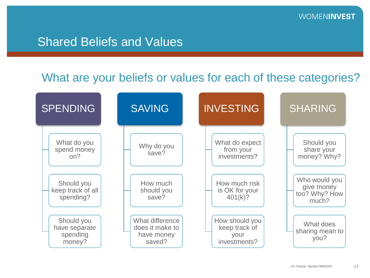#### Shared Beliefs and Values

#### What are your beliefs or values for each of these categories?

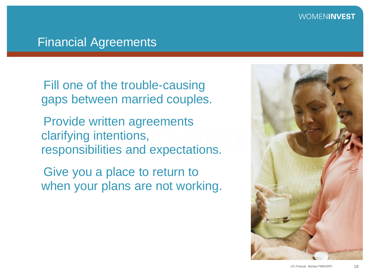#### Financial Agreements

Fill one of the trouble-causing gaps between married couples.

Provide written agreements clarifying intentions, responsibilities and expectations.

Give you a place to return to when your plans are not working.

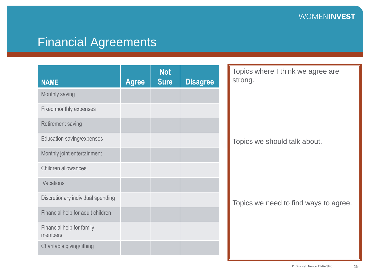## Financial Agreements

|                                      |              | <b>Not</b>  |                 | Topics where I think we agree are<br>strong. |
|--------------------------------------|--------------|-------------|-----------------|----------------------------------------------|
| <b>NAME</b>                          | <b>Agree</b> | <b>Sure</b> | <b>Disagree</b> |                                              |
| Monthly saving                       |              |             |                 |                                              |
| Fixed monthly expenses               |              |             |                 |                                              |
| <b>Retirement saving</b>             |              |             |                 |                                              |
| Education saving/expenses            |              |             |                 | Topics we should talk about.                 |
| Monthly joint entertainment          |              |             |                 |                                              |
| Children allowances                  |              |             |                 |                                              |
| Vacations                            |              |             |                 |                                              |
| Discretionary individual spending    |              |             |                 | Topics we need to find ways to agree.        |
| Financial help for adult children    |              |             |                 |                                              |
| Financial help for family<br>members |              |             |                 |                                              |
| Charitable giving/tithing            |              |             |                 |                                              |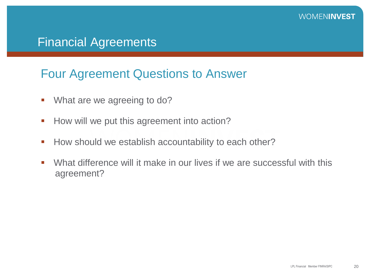#### Financial Agreements

#### Four Agreement Questions to Answer

- **What are we agreeing to do?**
- How will we put this agreement into action?
- How should we establish accountability to each other?
- What difference will it make in our lives if we are successful with this agreement?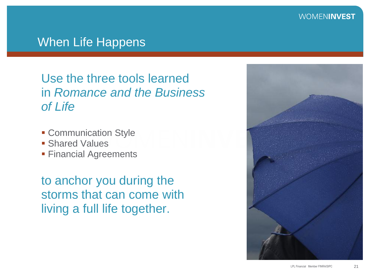#### When Life Happens

Use the three tools learned in *Romance and the Business of Life*

- **Communication Style**
- **Shared Values**
- **Financial Agreements**

to anchor you during the storms that can come with living a full life together.

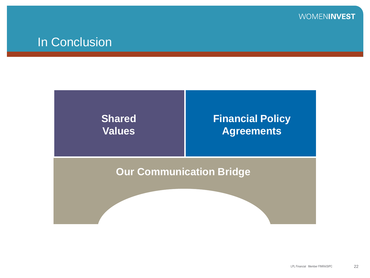

#### In Conclusion